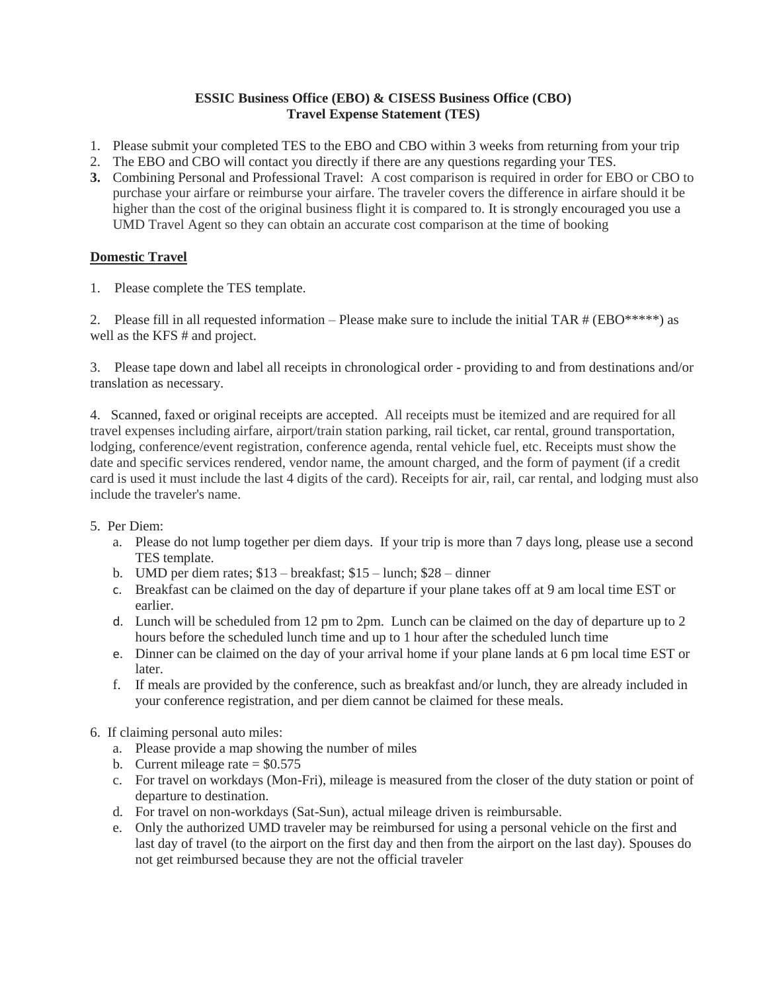## **ESSIC Business Office (EBO) & CISESS Business Office (CBO) Travel Expense Statement (TES)**

- 1. Please submit your completed TES to the EBO and CBO within 3 weeks from returning from your trip
- 2. The EBO and CBO will contact you directly if there are any questions regarding your TES.
- **3.** Combining Personal and Professional Travel: A cost comparison is required in order for EBO or CBO to purchase your airfare or reimburse your airfare. The traveler covers the difference in airfare should it be higher than the cost of the original business flight it is compared to. It is strongly encouraged you use a UMD Travel Agent so they can obtain an accurate cost comparison at the time of booking

# **Domestic Travel**

1. Please complete the TES template.

2. Please fill in all requested information – Please make sure to include the initial TAR  $# (EBO^{****})$  as well as the KFS # and project.

3. Please tape down and label all receipts in chronological order - providing to and from destinations and/or translation as necessary.

4. Scanned, faxed or original receipts are accepted. All receipts must be itemized and are required for all travel expenses including airfare, airport/train station parking, rail ticket, car rental, ground transportation, lodging, conference/event registration, conference agenda, rental vehicle fuel, etc. Receipts must show the date and specific services rendered, vendor name, the amount charged, and the form of payment (if a credit card is used it must include the last 4 digits of the card). Receipts for air, rail, car rental, and lodging must also include the traveler's name.

- 5. Per Diem:
	- a. Please do not lump together per diem days. If your trip is more than 7 days long, please use a second TES template.
	- b. UMD per diem rates; \$13 breakfast; \$15 lunch; \$28 dinner
	- c. Breakfast can be claimed on the day of departure if your plane takes off at 9 am local time EST or earlier.
	- d. Lunch will be scheduled from 12 pm to 2pm. Lunch can be claimed on the day of departure up to 2 hours before the scheduled lunch time and up to 1 hour after the scheduled lunch time
	- e. Dinner can be claimed on the day of your arrival home if your plane lands at 6 pm local time EST or later.
	- f. If meals are provided by the conference, such as breakfast and/or lunch, they are already included in your conference registration, and per diem cannot be claimed for these meals.
- 6. If claiming personal auto miles:
	- a. Please provide a map showing the number of miles
	- b. Current mileage rate  $=$  \$0.575
	- c. For travel on workdays (Mon-Fri), mileage is measured from the closer of the duty station or point of departure to destination.
	- d. For travel on non-workdays (Sat-Sun), actual mileage driven is reimbursable.
	- e. Only the authorized UMD traveler may be reimbursed for using a personal vehicle on the first and last day of travel (to the airport on the first day and then from the airport on the last day). Spouses do not get reimbursed because they are not the official traveler